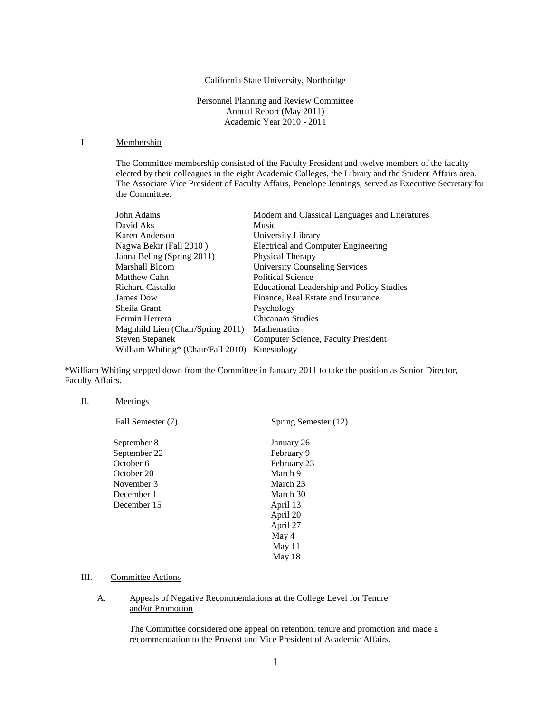# California State University, Northridge

Personnel Planning and Review Committee Annual Report (May 2011) Academic Year 2010 - 2011

# I. Membership

The Committee membership consisted of the Faculty President and twelve members of the faculty elected by their colleagues in the eight Academic Colleges, the Library and the Student Affairs area. The Associate Vice President of Faculty Affairs, Penelope Jennings, served as Executive Secretary for the Committee.

| John Adams                         | Modern and Classical Languages and Literatures   |
|------------------------------------|--------------------------------------------------|
| David Aks                          | Music                                            |
| Karen Anderson                     | University Library                               |
| Nagwa Bekir (Fall 2010)            | Electrical and Computer Engineering              |
| Janna Beling (Spring 2011)         | Physical Therapy                                 |
| Marshall Bloom                     | <b>University Counseling Services</b>            |
| Matthew Cahn                       | <b>Political Science</b>                         |
| <b>Richard Castallo</b>            | <b>Educational Leadership and Policy Studies</b> |
| James Dow                          | Finance, Real Estate and Insurance               |
| Sheila Grant                       | Psychology                                       |
| Fermin Herrera                     | Chicana/o Studies                                |
| Magnhild Lien (Chair/Spring 2011)  | <b>Mathematics</b>                               |
| <b>Steven Stepanek</b>             | Computer Science, Faculty President              |
| William Whiting* (Chair/Fall 2010) | Kinesiology                                      |

\*William Whiting stepped down from the Committee in January 2011 to take the position as Senior Director, Faculty Affairs.

#### II. Meetings

| Fall Semester (7) | Spring Semester (12) |
|-------------------|----------------------|
| September 8       | January 26           |
| September 22      | February 9           |
| October 6         | February 23          |
| October 20        | March 9              |
| November 3        | March 23             |
| December 1        | March 30             |
| December 15       | April 13             |
|                   | April 20             |
|                   | April 27             |
|                   | May 4                |
|                   | May 11               |
|                   | May 18               |

# III. Committee Actions

## A. Appeals of Negative Recommendations at the College Level for Tenure and/or Promotion

The Committee considered one appeal on retention, tenure and promotion and made a recommendation to the Provost and Vice President of Academic Affairs.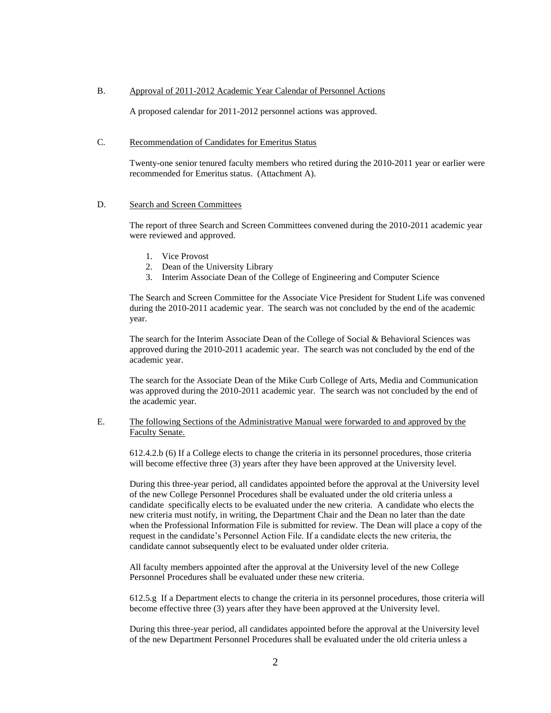# B. Approval of 2011-2012 Academic Year Calendar of Personnel Actions

A proposed calendar for 2011-2012 personnel actions was approved.

# C. Recommendation of Candidates for Emeritus Status

Twenty-one senior tenured faculty members who retired during the 2010-2011 year or earlier were recommended for Emeritus status. (Attachment A).

#### D. Search and Screen Committees

The report of three Search and Screen Committees convened during the 2010-2011 academic year were reviewed and approved.

- 1. Vice Provost
- 2. Dean of the University Library
- 3. Interim Associate Dean of the College of Engineering and Computer Science

The Search and Screen Committee for the Associate Vice President for Student Life was convened during the 2010-2011 academic year. The search was not concluded by the end of the academic year.

The search for the Interim Associate Dean of the College of Social & Behavioral Sciences was approved during the 2010-2011 academic year. The search was not concluded by the end of the academic year.

The search for the Associate Dean of the Mike Curb College of Arts, Media and Communication was approved during the 2010-2011 academic year. The search was not concluded by the end of the academic year.

# E. The following Sections of the Administrative Manual were forwarded to and approved by the Faculty Senate.

612.4.2.b (6) If a College elects to change the criteria in its personnel procedures, those criteria will become effective three (3) years after they have been approved at the University level.

During this three-year period, all candidates appointed before the approval at the University level of the new College Personnel Procedures shall be evaluated under the old criteria unless a candidate specifically elects to be evaluated under the new criteria. A candidate who elects the new criteria must notify, in writing, the Department Chair and the Dean no later than the date when the Professional Information File is submitted for review. The Dean will place a copy of the request in the candidate's Personnel Action File. If a candidate elects the new criteria, the candidate cannot subsequently elect to be evaluated under older criteria.

All faculty members appointed after the approval at the University level of the new College Personnel Procedures shall be evaluated under these new criteria.

612.5.g If a Department elects to change the criteria in its personnel procedures, those criteria will become effective three (3) years after they have been approved at the University level.

During this three-year period, all candidates appointed before the approval at the University level of the new Department Personnel Procedures shall be evaluated under the old criteria unless a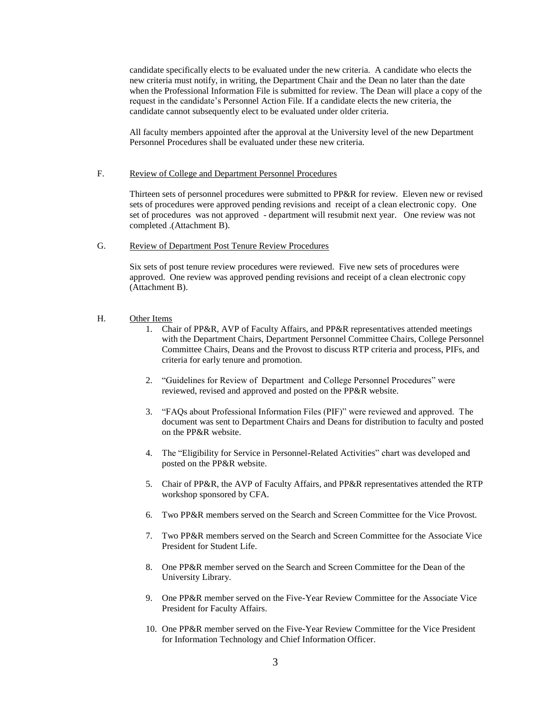candidate specifically elects to be evaluated under the new criteria. A candidate who elects the new criteria must notify, in writing, the Department Chair and the Dean no later than the date when the Professional Information File is submitted for review. The Dean will place a copy of the request in the candidate's Personnel Action File. If a candidate elects the new criteria, the candidate cannot subsequently elect to be evaluated under older criteria.

All faculty members appointed after the approval at the University level of the new Department Personnel Procedures shall be evaluated under these new criteria.

# F. Review of College and Department Personnel Procedures

Thirteen sets of personnel procedures were submitted to PP&R for review. Eleven new or revised sets of procedures were approved pending revisions and receipt of a clean electronic copy. One set of procedures was not approved - department will resubmit next year. One review was not completed .(Attachment B).

#### G. Review of Department Post Tenure Review Procedures

Six sets of post tenure review procedures were reviewed. Five new sets of procedures were approved. One review was approved pending revisions and receipt of a clean electronic copy (Attachment B).

### H. Other Items

- 1. Chair of PP&R, AVP of Faculty Affairs, and PP&R representatives attended meetings with the Department Chairs, Department Personnel Committee Chairs, College Personnel Committee Chairs, Deans and the Provost to discuss RTP criteria and process, PIFs, and criteria for early tenure and promotion.
- 2. "Guidelines for Review of Department and College Personnel Procedures" were reviewed, revised and approved and posted on the PP&R website.
- 3. "FAQs about Professional Information Files (PIF)" were reviewed and approved. The document was sent to Department Chairs and Deans for distribution to faculty and posted on the PP&R website.
- 4. The "Eligibility for Service in Personnel-Related Activities" chart was developed and posted on the PP&R website.
- 5. Chair of PP&R, the AVP of Faculty Affairs, and PP&R representatives attended the RTP workshop sponsored by CFA.
- 6. Two PP&R members served on the Search and Screen Committee for the Vice Provost.
- 7. Two PP&R members served on the Search and Screen Committee for the Associate Vice President for Student Life.
- 8. One PP&R member served on the Search and Screen Committee for the Dean of the University Library.
- 9. One PP&R member served on the Five-Year Review Committee for the Associate Vice President for Faculty Affairs.
- 10. One PP&R member served on the Five-Year Review Committee for the Vice President for Information Technology and Chief Information Officer.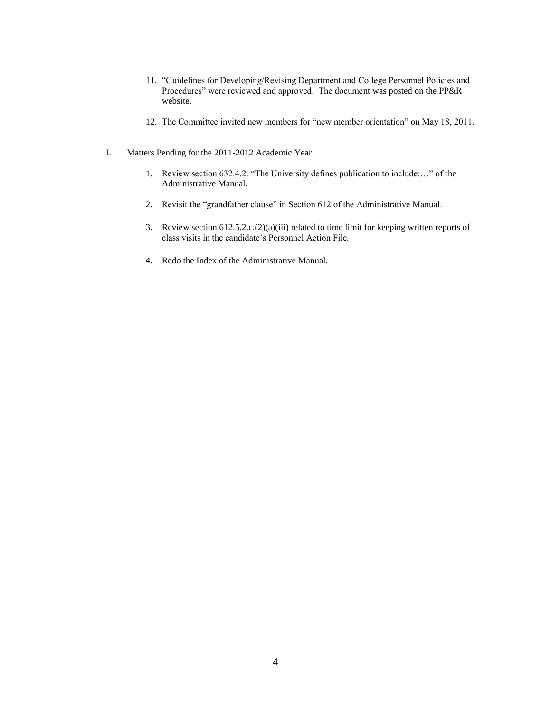- 11. "Guidelines for Developing/Revising Department and College Personnel Policies and Procedures" were reviewed and approved. The document was posted on the PP&R website.
- 12. The Committee invited new members for "new member orientation" on May 18, 2011.
- I. Matters Pending for the 2011-2012 Academic Year
	- 1. Review section 632.4.2. "The University defines publication to include:…" of the Administrative Manual.
	- 2. Revisit the "grandfather clause" in Section 612 of the Administrative Manual.
	- 3. Review section 612.5.2.c.(2)(a)(iii) related to time limit for keeping written reports of class visits in the candidate's Personnel Action File.
	- 4. Redo the Index of the Administrative Manual.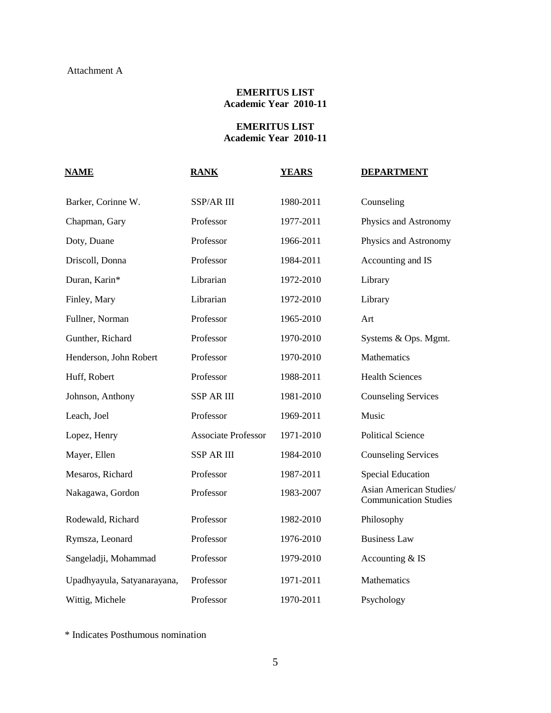# **EMERITUS LIST Academic Year 2010-11**

# **EMERITUS LIST Academic Year 2010-11**

| <b>NAME</b>                 | <b>RANK</b>                | <b>YEARS</b> | <b>DEPARTMENT</b>                                       |
|-----------------------------|----------------------------|--------------|---------------------------------------------------------|
| Barker, Corinne W.          | SSP/AR III                 | 1980-2011    | Counseling                                              |
| Chapman, Gary               | Professor                  | 1977-2011    | Physics and Astronomy                                   |
| Doty, Duane                 | Professor                  | 1966-2011    | Physics and Astronomy                                   |
| Driscoll, Donna             | Professor                  | 1984-2011    | Accounting and IS                                       |
| Duran, Karin*               | Librarian                  | 1972-2010    | Library                                                 |
| Finley, Mary                | Librarian                  | 1972-2010    | Library                                                 |
| Fullner, Norman             | Professor                  | 1965-2010    | Art                                                     |
| Gunther, Richard            | Professor                  | 1970-2010    | Systems & Ops. Mgmt.                                    |
| Henderson, John Robert      | Professor                  | 1970-2010    | Mathematics                                             |
| Huff, Robert                | Professor                  | 1988-2011    | <b>Health Sciences</b>                                  |
| Johnson, Anthony            | <b>SSP AR III</b>          | 1981-2010    | <b>Counseling Services</b>                              |
| Leach, Joel                 | Professor                  | 1969-2011    | Music                                                   |
| Lopez, Henry                | <b>Associate Professor</b> | 1971-2010    | <b>Political Science</b>                                |
| Mayer, Ellen                | <b>SSP AR III</b>          | 1984-2010    | <b>Counseling Services</b>                              |
| Mesaros, Richard            | Professor                  | 1987-2011    | <b>Special Education</b>                                |
| Nakagawa, Gordon            | Professor                  | 1983-2007    | Asian American Studies/<br><b>Communication Studies</b> |
| Rodewald, Richard           | Professor                  | 1982-2010    | Philosophy                                              |
| Rymsza, Leonard             | Professor                  | 1976-2010    | <b>Business Law</b>                                     |
| Sangeladji, Mohammad        | Professor                  | 1979-2010    | Accounting & IS                                         |
| Upadhyayula, Satyanarayana, | Professor                  | 1971-2011    | Mathematics                                             |
| Wittig, Michele             | Professor                  | 1970-2011    | Psychology                                              |

\* Indicates Posthumous nomination